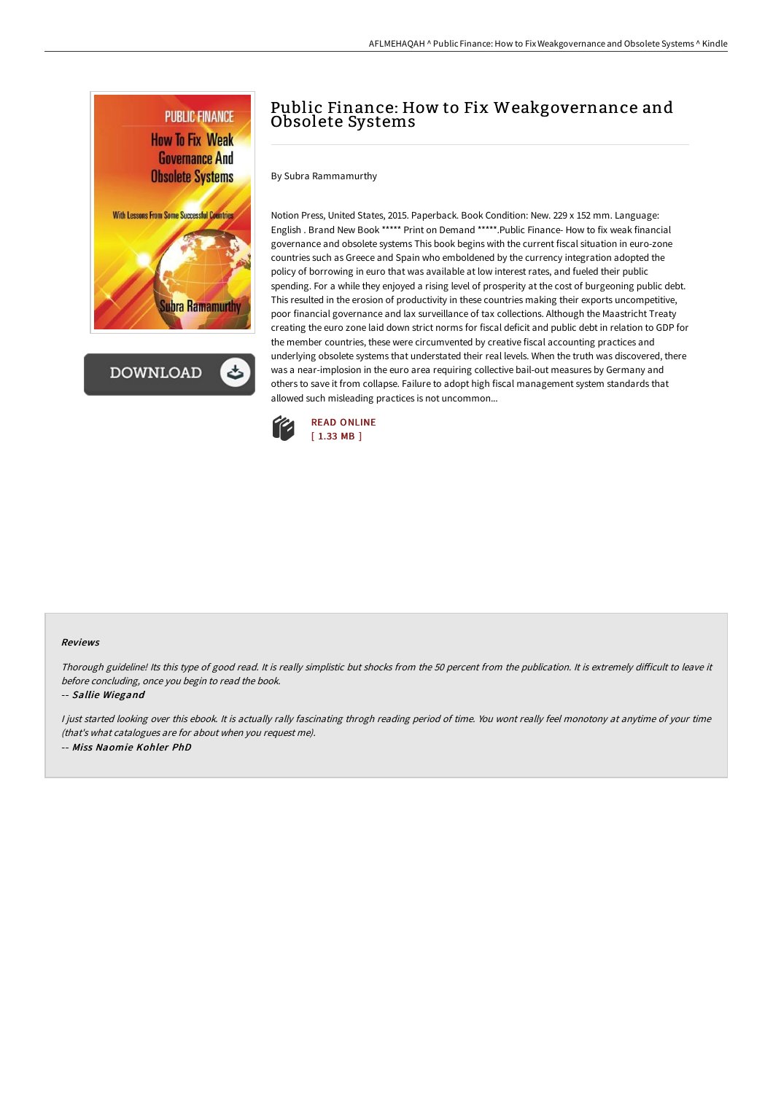

**DOWNLOAD** 

## Public Finance: How to Fix Weakgovernance and Obsolete Systems

By Subra Rammamurthy

Notion Press, United States, 2015. Paperback. Book Condition: New. 229 x 152 mm. Language: English . Brand New Book \*\*\*\*\* Print on Demand \*\*\*\*\*.Public Finance- How to fix weak financial governance and obsolete systems This book begins with the current fiscal situation in euro-zone countries such as Greece and Spain who emboldened by the currency integration adopted the policy of borrowing in euro that was available at low interest rates, and fueled their public spending. For a while they enjoyed a rising level of prosperity at the cost of burgeoning public debt. This resulted in the erosion of productivity in these countries making their exports uncompetitive, poor financial governance and lax surveillance of tax collections. Although the Maastricht Treaty creating the euro zone laid down strict norms for fiscal deficit and public debt in relation to GDP for the member countries, these were circumvented by creative fiscal accounting practices and underlying obsolete systems that understated their real levels. When the truth was discovered, there was a near-implosion in the euro area requiring collective bail-out measures by Germany and others to save it from collapse. Failure to adopt high fiscal management system standards that allowed such misleading practices is not uncommon...



## Reviews

Thorough guideline! Its this type of good read. It is really simplistic but shocks from the 50 percent from the publication. It is extremely difficult to leave it before concluding, once you begin to read the book.

## -- Sallie Wiegand

I just started looking over this ebook. It is actually rally fascinating throgh reading period of time. You wont really feel monotony at anytime of your time (that's what catalogues are for about when you request me). -- Miss Naomie Kohler PhD